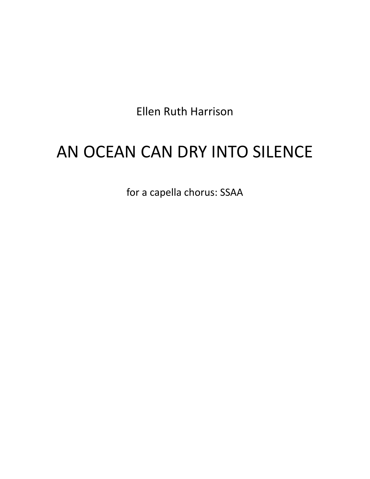**Ellen Ruth Harrison** 

## AN OCEAN CAN DRY INTO SILENCE

for a capella chorus: SSAA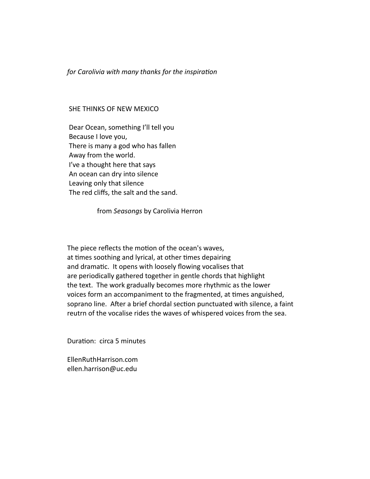*for Carolivia with many thanks for the inspiration* 

## SHE THINKS OF NEW MEXICO

Dear Ocean, something I'll tell you Because I love you, There is many a god who has fallen Away from the world. I've a thought here that says An ocean can dry into silence Leaving only that silence The red cliffs, the salt and the sand.

from *Seasongs* by Carolivia Herron

The piece reflects the motion of the ocean's waves, at times soothing and lyrical, at other times depairing and dramatic. It opens with loosely flowing vocalises that are periodically gathered together in gentle chords that highlight the text. The work gradually becomes more rhythmic as the lower voices form an accompaniment to the fragmented, at times anguished, soprano line. After a brief chordal section punctuated with silence, a faint reutrn of the vocalise rides the waves of whispered voices from the sea.

Duration: circa 5 minutes

EllenRuthHarrison.com ellen.harrison@uc.edu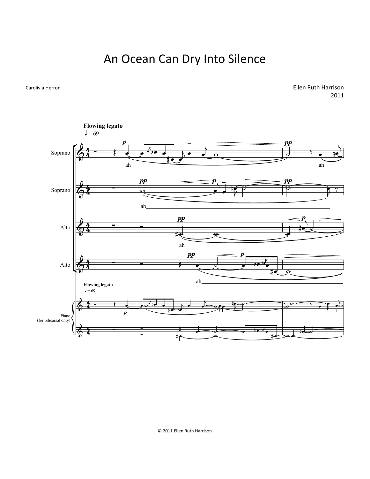## An Ocean Can Dry Into Silence

Carolivia Herron

Ellen Ruth Harrison 2011

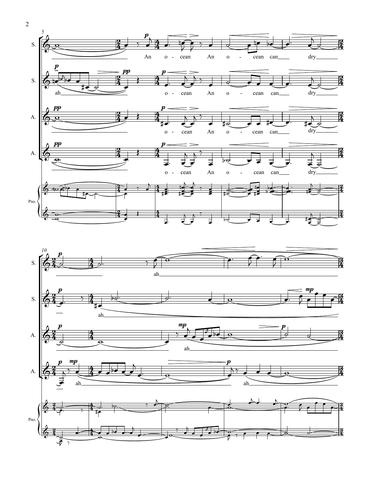

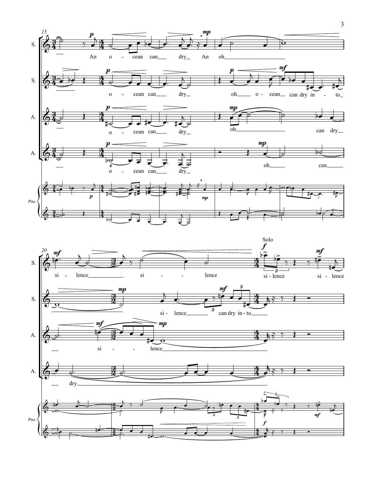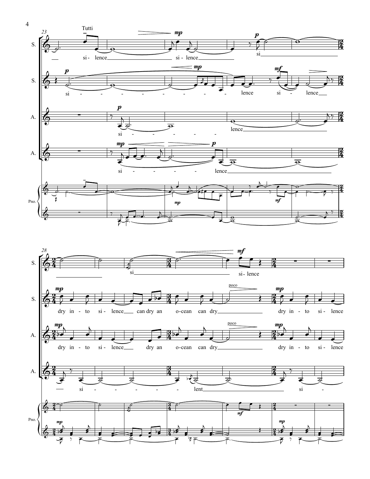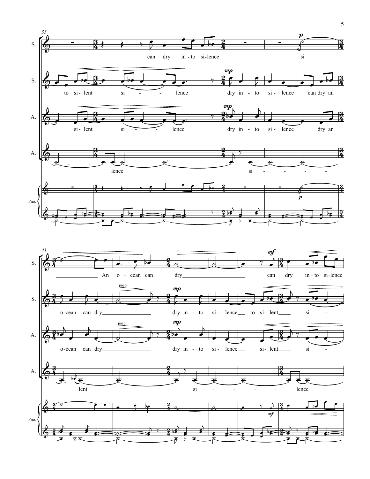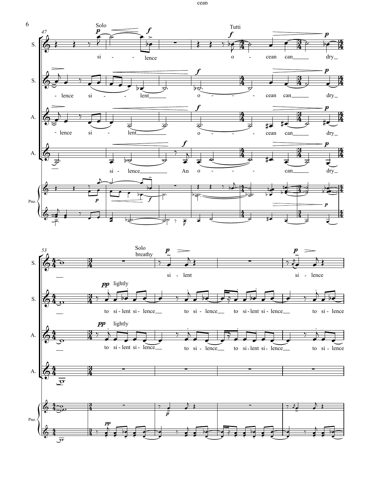cean

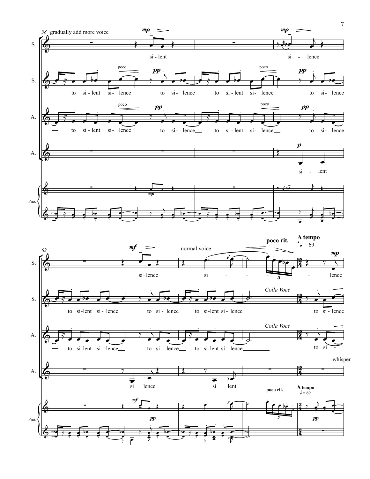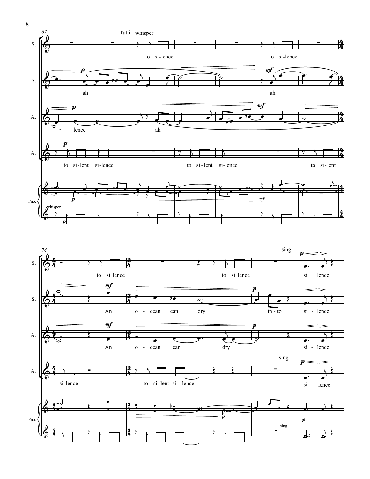

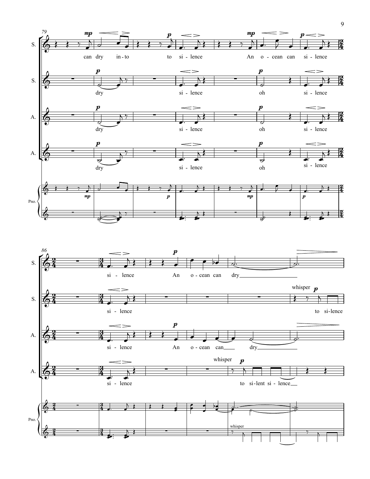